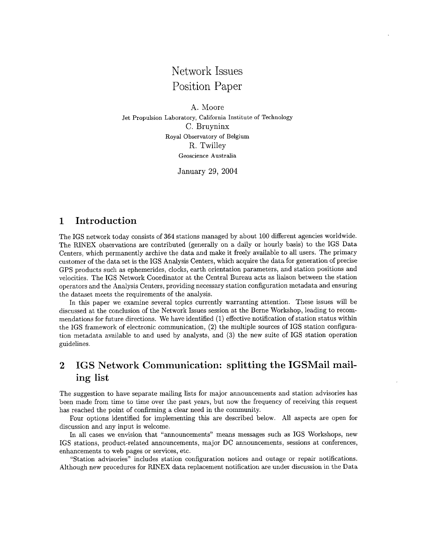# Network Issues Position Paper

**A.** Moore C. Bruyninx R. Twilley Jet Propulsion Laboratory, California Institute of Technology Royal Observatory of Belgium Geoscience Australia

January 29, 2004

### **1** Introduction

The IGS network today consists of **364** stations managed by about 100 different agencies worldwide. The RINEX observations are contributed (generally on a daily or hourly basis) to the IGS Data Centers, which permanently archive the data and make it freely available to all users. The primary customer of the data set is the IGS Analysis Centers, which acquire the data for generation of precise GPS products such as ephemerides, clocks, earth orientation parameters, and station positions and velocities. The IGS Network Coordinator at the Central Bureau acts as liaison between the station operators and the Analysis Centers, providing necessary station configuration metadata and ensuring the dataset meets the requirements of the analysis.

In this paper we examine several topics currently warranting attention. These issues will be discussed at the conclusion of the Network Issues session at the Berne Workshop, leading to recommendations for future directions. We have identified (1) effective notification of station status within the IGS framework of electronic communication, **(2)** the multiple sources of IGS station configuration metadata available to and used by analysts, and **(3)** the new suite of IGS station operation guidelines.

## **2** IGS Network Communication: splitting the IGSMail mailing list

The suggestion to have separate mailing lists for major announcements and station advisories has been made from time to time over the past years, but now the frequency of receiving this request has reached the point of confirming a clear need in the community.

Four options identified for implementing this are described below. All aspects are open for discussion and any input is welcome.

In all cases we envision that "announcements" means messages such as IGS Workshops, new IGS stations, product-related announcements, major DC announcements, sessions at conferences, enhancements to web pages or services, etc.

"Station advisories'' includes station configuration notices and outage or repair notifications. Although new procedures for RINEX data replacement notification are under discussion in the Data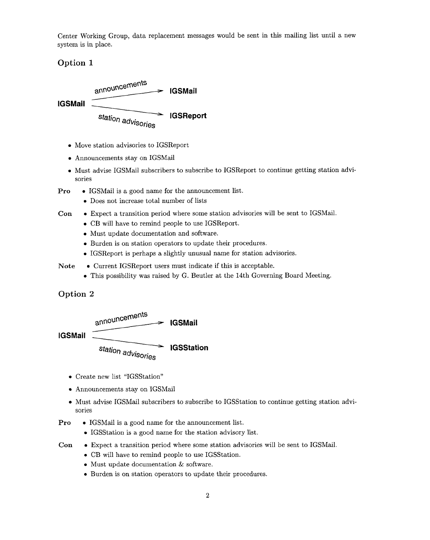Center Working Croup, data replacement messages would be sent in this mailing list until a new system is in place.

#### **Option 1**



- *0*  Move station advisories to IGSReport
- *0*  Announcements stay on IGSMail
- *0*  Must advise IGSMail subscribers to subscribe to IGSReport to continue getting station advisories
- **Pro**  *<sup>0</sup>*IGSMail is a good name for the announcement list.
	- Does not increase total number of lists
- **Con**  *<sup>0</sup>*Expect a transition period where some station advisories will be sent to IGSMail.
	- *0* CB will have to remind people to use IGSReport.
	- *0* Must update documentation and software.
	- *0* Burden is on station operators to update their procedures.
	- *<sup>0</sup>*IGSReport is perhaps a slightly unusual name for station advisories.
- Note Current IGSReport users must indicate if this is acceptable.
	- *0* This possibility was raised by G. Beutler at the 14th Governing Board Meeting.

#### **Option 2**



**IGSMail** 

```
station advisories
         IGSStation
```
- *0* Create new list "IGSStation"
- *0* Announcements stay on IGSMail
- *0* Must advise IGSMail subscribers to subscribe to IGSStation to continue getting station advisories
- **Pro**  $\bullet$  **IGSMail is a good name for the announcement list.** 
	- IGSStation is a good name for the station advisory list.
- *<sup>0</sup>*Expect a transition period where some station advisories will be sent to IGSMail. **Con** 
	- *0* CB will have to remind people to use IGSStation.
	- Must update documentation & software.
	- *0* Burden is on station operators to update their procedures.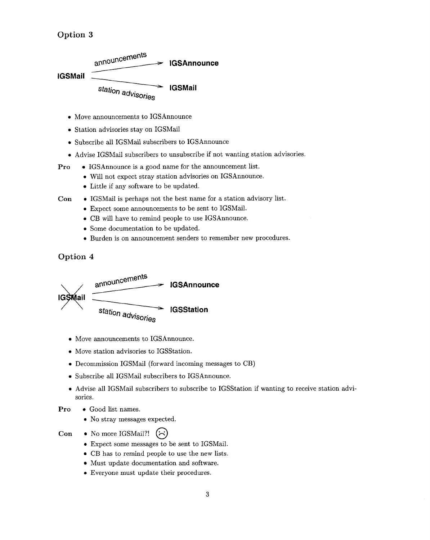**Option 3** 



- *0* Move announcements to IGSAnnounce
- *0* Station advisories stay on IGSMail
- *0* Subscribe all IGSMail subscribers to IGSAnnounce
- *0* Advise IGSMail subscribers to unsubscribe if not wanting station advisories.
- **Pro**  $\bullet$  IGSAnnounce is a good name for the announcement list.
	- *0* Will not expect stray station advisories on IGSAnnounce.
	- Little if any software to be updated.
- *0* IGSMail is perhaps not the best name for a station advisory list. **Con** 
	- *<sup>0</sup>*Expect some announcements to be sent to IGSMail.
	- *0* CB will have to remind people to use IGSAnnounce.
	- Some documentation to be updated.
	- *0* Burden is on announcement senders to remember new procedures.

#### **Option 4**



- *0* Move announcements to IGSAnnounce.
- $\bullet$  Move station advisories to IGSStation.
- *0* Decommission IGSMail (forward incoming messages to CB)
- *0* Subscribe all IGSMail subscribers to IGSAnnounce.
- *0* Advise all IGSMail subscribers to subscribe to IGSStation if wanting to receive station advisories.
- **Pro**  $\bullet$  **Good list names.** 
	- No stray messages expected.
- **Con** No more IGSMail?!  $(\uparrow)$ 
	- *0* Expect some messages to be sent to IGSMail.
	- CB has to remind people to use the new lists.
	- Must update documentation and software.
	- *0* Everyone must update their procedures.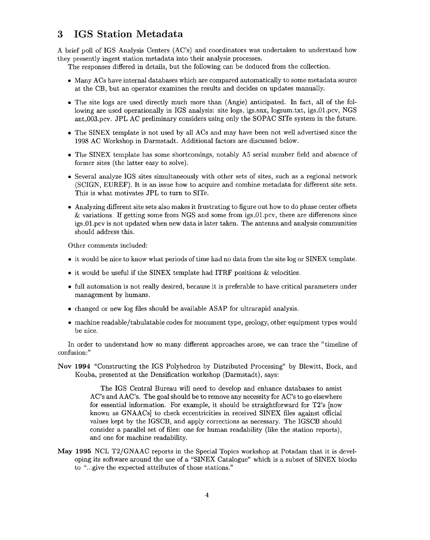### **3 IGS Station Metadata**

A brief poll of IGS Analysis Centers (AC's) and coordinators was undertaken to understand how they presently ingest station metadata into their analysis processes.

The responses differed in details, but the following can be deduced from the collection.

- Many ACs have internal databases which are compared automatically to some metadata source at the CB, but an operator examines the results and decides on updates manually.
- *0* The site logs are used directly much more than (Angie) anticipated. In fact, all of the following are used operationally in IGS analysis: site logs, igs.snx, logsum.txt, igs-Ol.pcv, NGS ant-003.pcv. JPL AC preliminary considers using only the SOPAC SITe system in the future.
- The SINEX template is not used by all ACs and may have been not well advertised since the 1998 AC Workshop in Darmstadt. Additional factors are discussed below.
- The SINEX template has some shortcomings, notably A5 serial number field and absence of former sites (the latter easy to solve).
- Several analyze IGS sites simultaneously with other sets of sites, such as a regional network (SCIGN, EUREF). It is an issue how to acquire and combine metadata for different site sets. This is what motivates JPL to turn to SITe.
- Analyzing different site sets also makes it frustrating to figure out how to do phase center offsets & variations. If getting some from NGS and some from igs-Ol.pcv, there are differences since igs-0l.pcv is not updated when new data is later taken. The antenna and analysis communities should address this.

Other comments included:

- it would be nice to know what periods of time had no data from the site log or SINEX template.
- *<sup>0</sup>*it would be useful if the SINEX template had ITRF positions & velocities.
- full automation is not really desired, because it is preferable to have critical parameters under management by humans.
- *<sup>0</sup>*changed or new log files should be available ASAP for ultrarapid analysis.
- machine readable/tabulatable codes for monument type, geology, other equipment types would be nice.

In order to understand how so many different approaches arose, we can trace the "timeline of confusion:"

**Nov 1994** "Constructing the IGS Polyhedron by Distributed Processing'' by Blewitt, Bock, and Kouba, presented at the Densification workshop (Darmstadt), says:

> The IGS Central Bureau will need to develop and enhance databases to assist AC's and AAC's. The goal should be to remove any necessity for AC's to go elsewhere for essential information. For example, it should be straightforward for T2's [now known as GNAACs] to check eccentricities in received SINEX files against official values kept by the IGSCB, and apply corrections as necessary. The IGSCB should consider a parallel set of files: one for human readability (like the station reports), and one for machine readability.

**May 1995** NCL T2/GNAAC reports in the Special Topics workshop at Potsdam that it is developing its software around the use of a "SINEX Catalogue" which is a subset of SINEX blocks to "...give the expected attributes of those stations."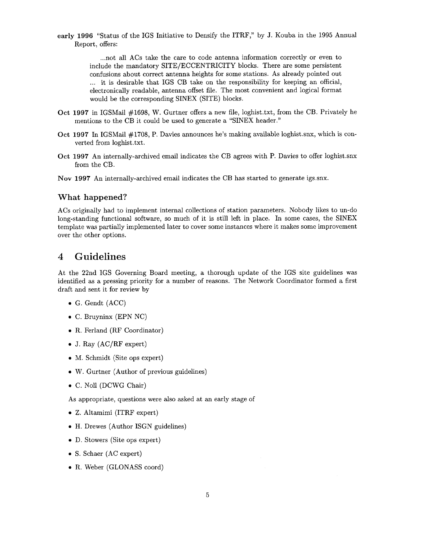**early 1996** "Status of the IGS Initiative to Densify the ITRF," by J. Kouba in the 1995 Annual Report, offers:

> ... not all ACs take the care to code antenna information correctly or even to include the mandatory SITE/ECCENTRICITY blocks. There are some persistent confusions about correct antenna heights for some stations. As already pointed out ... it is desirable that IGS CB take on the responsibility for keeping an official, electronically readable, antenna offset file. The most convenient and logical format would be the corresponding SINEX (SITE) blocks.

- Oct **1997** in IGSMail #1698, W. Gurtner offers a new file, loghist.txt, from the CB. Privately he mentions to the CB it could be used to generate a "SINEX header."
- Oct **1997** In IGSMail #1708, P. Davies announces he's making available loghist.snx, which is converted from 1oghist.txt.
- Oct **1997** An internally-archived email indicates the CB agrees with P. Davies to offer 1oghist.snx from the CB.
- **Nov 1997** An internally-archived email indicates the CB has started to generate igs.snx.

#### **What happened?**

ACs originally had to implement internal collections of station parameters. Nobody likes to un-do long-standing functional software, so much of it is still left in place. In some cases, the SINEX template was partially implemented later to cover some instances where it makes some improvement over the other options.

#### **4 Guidelines**

At the 22nd IGS Governing Board meeting, a thorough update of the IGS site guidelines was identified **as** a pressing priority for a number of reasons. The Network Coordinator formed a first draft and sent it for review by

- *0* G. Gendt (ACC)
- *0* C. Bruyninx (EPN NC)
- R. Ferland (RF Coordinator)
- *<sup>0</sup>*J. Ray (AC/RF expert)
- M. Schmidt (Site ops expert)
- *0* W. Gurtner (Author of previous guidelines)
- *0* C. No11 (DCWG Chair)

As appropriate, questions were also asked at an early stage of

- Z. Altamimi (ITRF expert)
- H. Drewes (Author ISGN guidelines)
- *0* D. Stowers (Site ops expert)
- *<sup>0</sup>*S. Schaer (AC expert)
- *0* R. Weber (GLONASS coord)